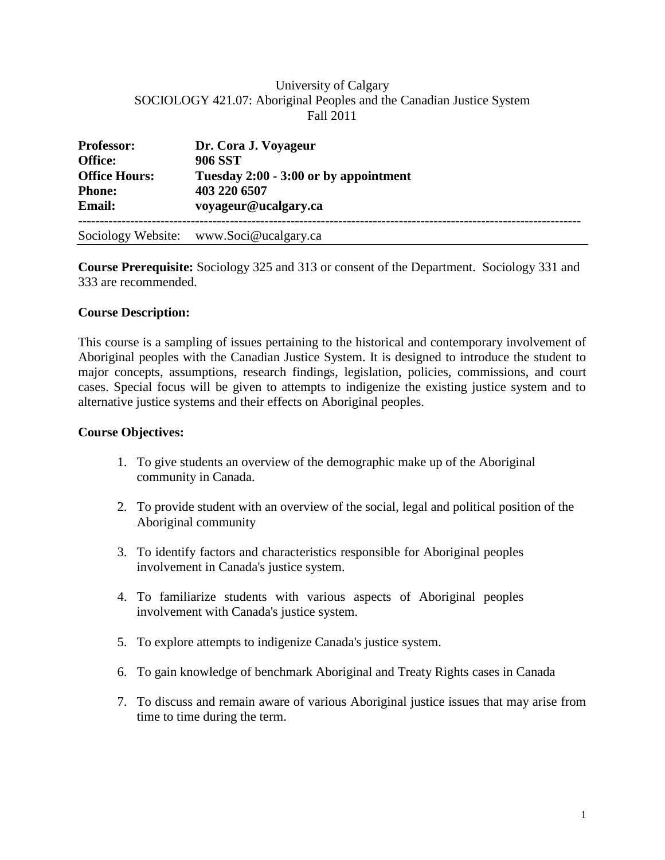## University of Calgary SOCIOLOGY 421.07: Aboriginal Peoples and the Canadian Justice System Fall 2011

| <b>Professor:</b>    | Dr. Cora J. Voyageur                    |  |  |
|----------------------|-----------------------------------------|--|--|
| <b>Office:</b>       | <b>906 SST</b>                          |  |  |
| <b>Office Hours:</b> | Tuesday 2:00 - 3:00 or by appointment   |  |  |
| <b>Phone:</b>        | 403 220 6507                            |  |  |
| <b>Email:</b>        | voyageur@ucalgary.ca                    |  |  |
|                      | Sociology Website: www.Soci@ucalgary.ca |  |  |

**Course Prerequisite:** Sociology 325 and 313 or consent of the Department. Sociology 331 and 333 are recommended.

#### **Course Description:**

This course is a sampling of issues pertaining to the historical and contemporary involvement of Aboriginal peoples with the Canadian Justice System. It is designed to introduce the student to major concepts, assumptions, research findings, legislation, policies, commissions, and court cases. Special focus will be given to attempts to indigenize the existing justice system and to alternative justice systems and their effects on Aboriginal peoples.

#### **Course Objectives:**

- 1. To give students an overview of the demographic make up of the Aboriginal community in Canada.
- 2. To provide student with an overview of the social, legal and political position of the Aboriginal community
- 3. To identify factors and characteristics responsible for Aboriginal peoples involvement in Canada's justice system.
- 4. To familiarize students with various aspects of Aboriginal peoples involvement with Canada's justice system.
- 5. To explore attempts to indigenize Canada's justice system.
- 6. To gain knowledge of benchmark Aboriginal and Treaty Rights cases in Canada
- 7. To discuss and remain aware of various Aboriginal justice issues that may arise from time to time during the term.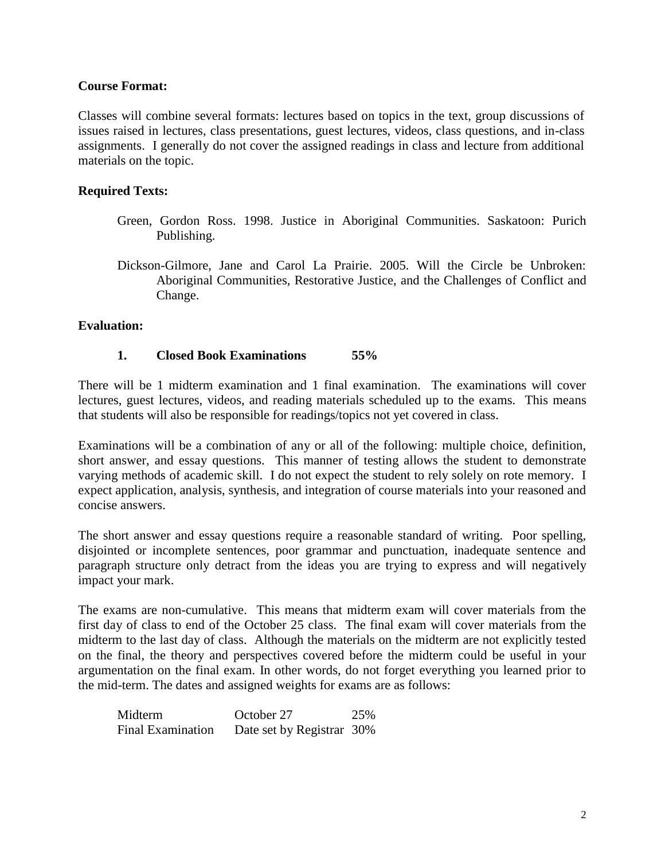### **Course Format:**

Classes will combine several formats: lectures based on topics in the text, group discussions of issues raised in lectures, class presentations, guest lectures, videos, class questions, and in-class assignments. I generally do not cover the assigned readings in class and lecture from additional materials on the topic.

## **Required Texts:**

- Green, Gordon Ross. 1998. Justice in Aboriginal Communities. Saskatoon: Purich Publishing.
- Dickson-Gilmore, Jane and Carol La Prairie. 2005. Will the Circle be Unbroken: Aboriginal Communities, Restorative Justice, and the Challenges of Conflict and Change.

#### **Evaluation:**

#### **1. Closed Book Examinations 55%**

There will be 1 midterm examination and 1 final examination. The examinations will cover lectures, guest lectures, videos, and reading materials scheduled up to the exams. This means that students will also be responsible for readings/topics not yet covered in class.

Examinations will be a combination of any or all of the following: multiple choice, definition, short answer, and essay questions. This manner of testing allows the student to demonstrate varying methods of academic skill. I do not expect the student to rely solely on rote memory. I expect application, analysis, synthesis, and integration of course materials into your reasoned and concise answers.

The short answer and essay questions require a reasonable standard of writing. Poor spelling, disjointed or incomplete sentences, poor grammar and punctuation, inadequate sentence and paragraph structure only detract from the ideas you are trying to express and will negatively impact your mark.

The exams are non-cumulative. This means that midterm exam will cover materials from the first day of class to end of the October 25 class. The final exam will cover materials from the midterm to the last day of class. Although the materials on the midterm are not explicitly tested on the final, the theory and perspectives covered before the midterm could be useful in your argumentation on the final exam. In other words, do not forget everything you learned prior to the mid-term. The dates and assigned weights for exams are as follows:

| Midterm                  | October 27                | 25% |
|--------------------------|---------------------------|-----|
| <b>Final Examination</b> | Date set by Registrar 30% |     |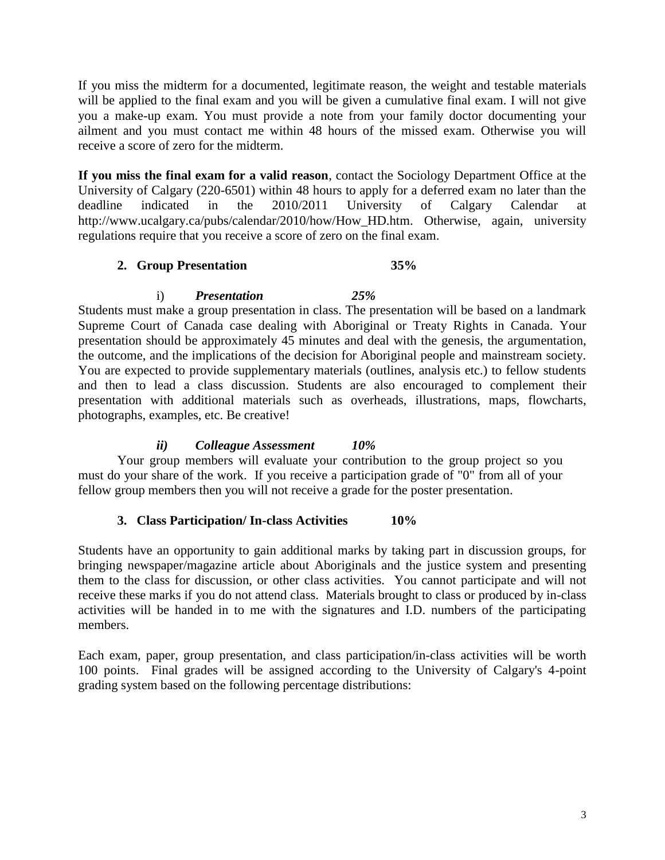If you miss the midterm for a documented, legitimate reason, the weight and testable materials will be applied to the final exam and you will be given a cumulative final exam. I will not give you a make-up exam. You must provide a note from your family doctor documenting your ailment and you must contact me within 48 hours of the missed exam. Otherwise you will receive a score of zero for the midterm.

**If you miss the final exam for a valid reason**, contact the Sociology Department Office at the University of Calgary (220-6501) within 48 hours to apply for a deferred exam no later than the deadline indicated in the 2010/2011 University of Calgary Calendar at http://www.ucalgary.ca/pubs/calendar/2010/how/How\_HD.htm. Otherwise, again, university regulations require that you receive a score of zero on the final exam.

## **2. Group Presentation 35%**

i) *Presentation 25%*

Students must make a group presentation in class. The presentation will be based on a landmark Supreme Court of Canada case dealing with Aboriginal or Treaty Rights in Canada. Your presentation should be approximately 45 minutes and deal with the genesis, the argumentation, the outcome, and the implications of the decision for Aboriginal people and mainstream society. You are expected to provide supplementary materials (outlines, analysis etc.) to fellow students and then to lead a class discussion. Students are also encouraged to complement their presentation with additional materials such as overheads, illustrations, maps, flowcharts, photographs, examples, etc. Be creative!

# *ii) Colleague Assessment 10%*

Your group members will evaluate your contribution to the group project so you must do your share of the work. If you receive a participation grade of "0" from all of your fellow group members then you will not receive a grade for the poster presentation.

# **3. Class Participation/ In-class Activities 10%**

Students have an opportunity to gain additional marks by taking part in discussion groups, for bringing newspaper/magazine article about Aboriginals and the justice system and presenting them to the class for discussion, or other class activities. You cannot participate and will not receive these marks if you do not attend class. Materials brought to class or produced by in-class activities will be handed in to me with the signatures and I.D. numbers of the participating members.

Each exam, paper, group presentation, and class participation/in-class activities will be worth 100 points. Final grades will be assigned according to the University of Calgary's 4-point grading system based on the following percentage distributions: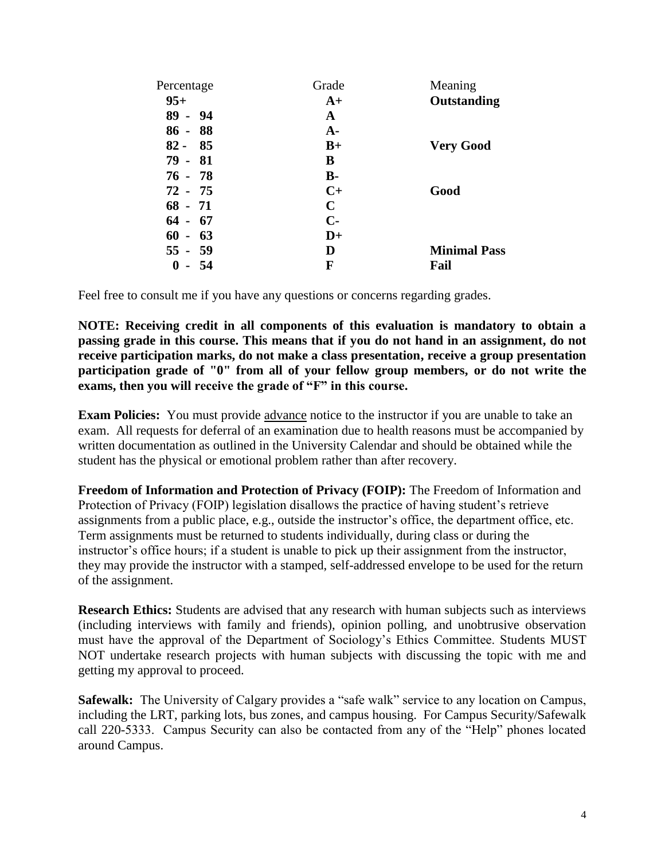| Percentage | Grade         | Meaning             |
|------------|---------------|---------------------|
| $95+$      | $A+$          | Outstanding         |
| $89 - 94$  | A             |                     |
| $86 - 88$  | $A -$         |                     |
| $82 - 85$  | $B+$          | <b>Very Good</b>    |
| $79 - 81$  | B             |                     |
| $76 - 78$  | <b>B-</b>     |                     |
| $72 - 75$  | $C+$          | Good                |
| $68 - 71$  | $\mathbf C$   |                     |
| $64 - 67$  | $C-$          |                     |
| $60 - 63$  | $\mathbf{D}+$ |                     |
| $55 - 59$  | D             | <b>Minimal Pass</b> |
| 0<br>- 54  | F             | Fail                |

Feel free to consult me if you have any questions or concerns regarding grades.

**NOTE: Receiving credit in all components of this evaluation is mandatory to obtain a passing grade in this course. This means that if you do not hand in an assignment, do not receive participation marks, do not make a class presentation, receive a group presentation participation grade of "0" from all of your fellow group members, or do not write the exams, then you will receive the grade of "F" in this course.**

**Exam Policies:** You must provide advance notice to the instructor if you are unable to take an exam. All requests for deferral of an examination due to health reasons must be accompanied by written documentation as outlined in the University Calendar and should be obtained while the student has the physical or emotional problem rather than after recovery.

**Freedom of Information and Protection of Privacy (FOIP):** The Freedom of Information and Protection of Privacy (FOIP) legislation disallows the practice of having student's retrieve assignments from a public place, e.g., outside the instructor's office, the department office, etc. Term assignments must be returned to students individually, during class or during the instructor's office hours; if a student is unable to pick up their assignment from the instructor, they may provide the instructor with a stamped, self-addressed envelope to be used for the return of the assignment.

**Research Ethics:** Students are advised that any research with human subjects such as interviews (including interviews with family and friends), opinion polling, and unobtrusive observation must have the approval of the Department of Sociology's Ethics Committee. Students MUST NOT undertake research projects with human subjects with discussing the topic with me and getting my approval to proceed.

**Safewalk:** The University of Calgary provides a "safe walk" service to any location on Campus, including the LRT, parking lots, bus zones, and campus housing. For Campus Security/Safewalk call 220-5333. Campus Security can also be contacted from any of the "Help" phones located around Campus.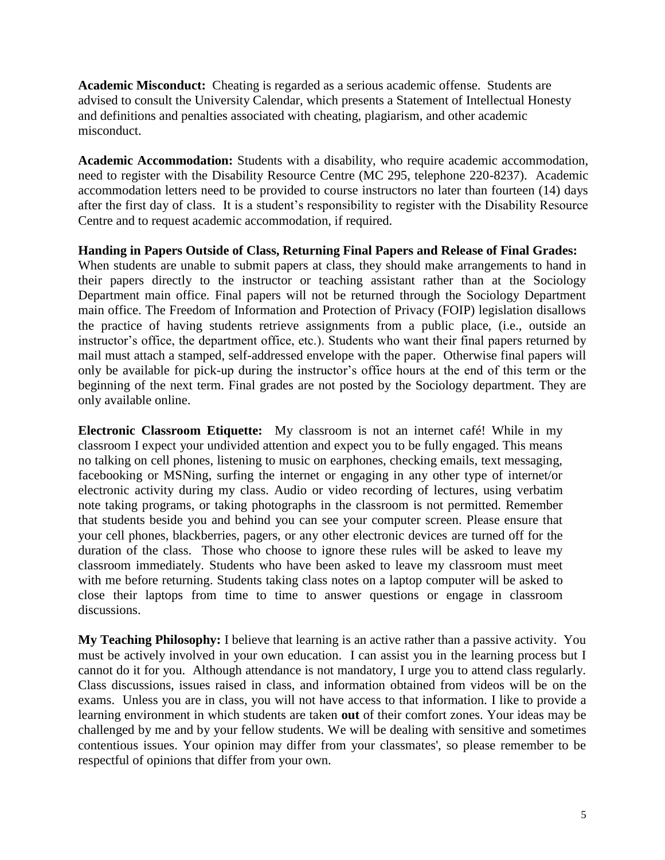**Academic Misconduct:** Cheating is regarded as a serious academic offense. Students are advised to consult the University Calendar, which presents a Statement of Intellectual Honesty and definitions and penalties associated with cheating, plagiarism, and other academic misconduct.

**Academic Accommodation:** Students with a disability, who require academic accommodation, need to register with the Disability Resource Centre (MC 295, telephone 220-8237). Academic accommodation letters need to be provided to course instructors no later than fourteen (14) days after the first day of class. It is a student's responsibility to register with the Disability Resource Centre and to request academic accommodation, if required.

**Handing in Papers Outside of Class, Returning Final Papers and Release of Final Grades:** When students are unable to submit papers at class, they should make arrangements to hand in their papers directly to the instructor or teaching assistant rather than at the Sociology Department main office. Final papers will not be returned through the Sociology Department main office. The Freedom of Information and Protection of Privacy (FOIP) legislation disallows the practice of having students retrieve assignments from a public place, (i.e., outside an instructor's office, the department office, etc.). Students who want their final papers returned by mail must attach a stamped, self-addressed envelope with the paper. Otherwise final papers will only be available for pick-up during the instructor's office hours at the end of this term or the beginning of the next term. Final grades are not posted by the Sociology department. They are only available online.

**Electronic Classroom Etiquette:** My classroom is not an internet café! While in my classroom I expect your undivided attention and expect you to be fully engaged. This means no talking on cell phones, listening to music on earphones, checking emails, text messaging, facebooking or MSNing, surfing the internet or engaging in any other type of internet/or electronic activity during my class. Audio or video recording of lectures, using verbatim note taking programs, or taking photographs in the classroom is not permitted. Remember that students beside you and behind you can see your computer screen. Please ensure that your cell phones, blackberries, pagers, or any other electronic devices are turned off for the duration of the class. Those who choose to ignore these rules will be asked to leave my classroom immediately. Students who have been asked to leave my classroom must meet with me before returning. Students taking class notes on a laptop computer will be asked to close their laptops from time to time to answer questions or engage in classroom discussions.

**My Teaching Philosophy:** I believe that learning is an active rather than a passive activity. You must be actively involved in your own education. I can assist you in the learning process but I cannot do it for you. Although attendance is not mandatory, I urge you to attend class regularly. Class discussions, issues raised in class, and information obtained from videos will be on the exams. Unless you are in class, you will not have access to that information. I like to provide a learning environment in which students are taken **out** of their comfort zones. Your ideas may be challenged by me and by your fellow students. We will be dealing with sensitive and sometimes contentious issues. Your opinion may differ from your classmates', so please remember to be respectful of opinions that differ from your own.